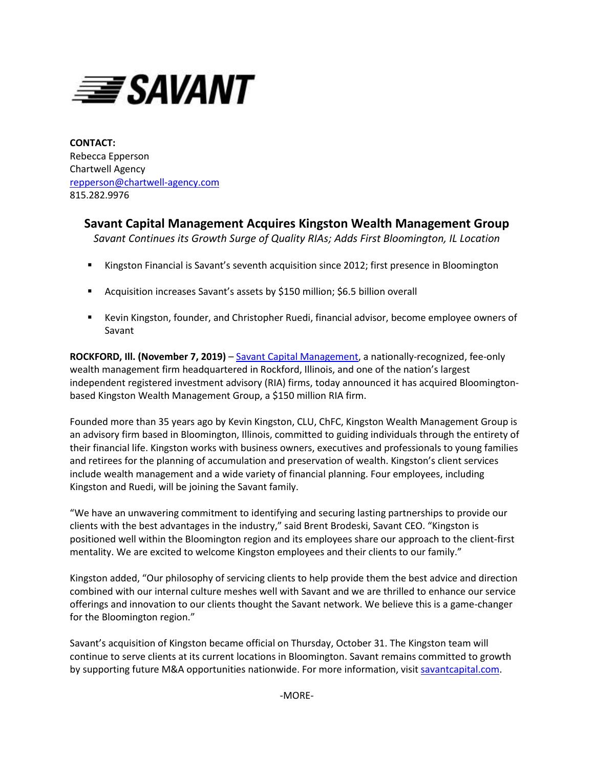

**CONTACT:** Rebecca Epperson Chartwell Agency [repperson@chartwell-agency.com](mailto:repperson@chartwell-agency.com) 815.282.9976

## **Savant Capital Management Acquires Kingston Wealth Management Group**

*Savant Continues its Growth Surge of Quality RIAs; Adds First Bloomington, IL Location* 

- **Kingston Financial is Savant's seventh acquisition since 2012; first presence in Bloomington**
- Acquisition increases Savant's assets by \$150 million; \$6.5 billion overall
- Kevin Kingston, founder, and Christopher Ruedi, financial advisor, become employee owners of Savant

**ROCKFORD, Ill. (November 7, 2019)** – [Savant Capital Management,](http://www.savantcapital.com/) a nationally-recognized, fee-only wealth management firm headquartered in Rockford, Illinois, and one of the nation's largest independent registered investment advisory (RIA) firms, today announced it has acquired Bloomingtonbased Kingston Wealth Management Group, a \$150 million RIA firm.

Founded more than 35 years ago by Kevin Kingston, CLU, ChFC, Kingston Wealth Management Group is an advisory firm based in Bloomington, Illinois, committed to guiding individuals through the entirety of their financial life. Kingston works with business owners, executives and professionals to young families and retirees for the planning of accumulation and preservation of wealth. Kingston's client services include wealth management and a wide variety of financial planning. Four employees, including Kingston and Ruedi, will be joining the Savant family.

"We have an unwavering commitment to identifying and securing lasting partnerships to provide our clients with the best advantages in the industry," said Brent Brodeski, Savant CEO. "Kingston is positioned well within the Bloomington region and its employees share our approach to the client-first mentality. We are excited to welcome Kingston employees and their clients to our family."

Kingston added, "Our philosophy of servicing clients to help provide them the best advice and direction combined with our internal culture meshes well with Savant and we are thrilled to enhance our service offerings and innovation to our clients thought the Savant network. We believe this is a game-changer for the Bloomington region."

Savant's acquisition of Kingston became official on Thursday, October 31. The Kingston team will continue to serve clients at its current locations in Bloomington. Savant remains committed to growth by supporting future M&A opportunities nationwide. For more information, visi[t savantcapital.com.](http://www.savantcapital.com/)